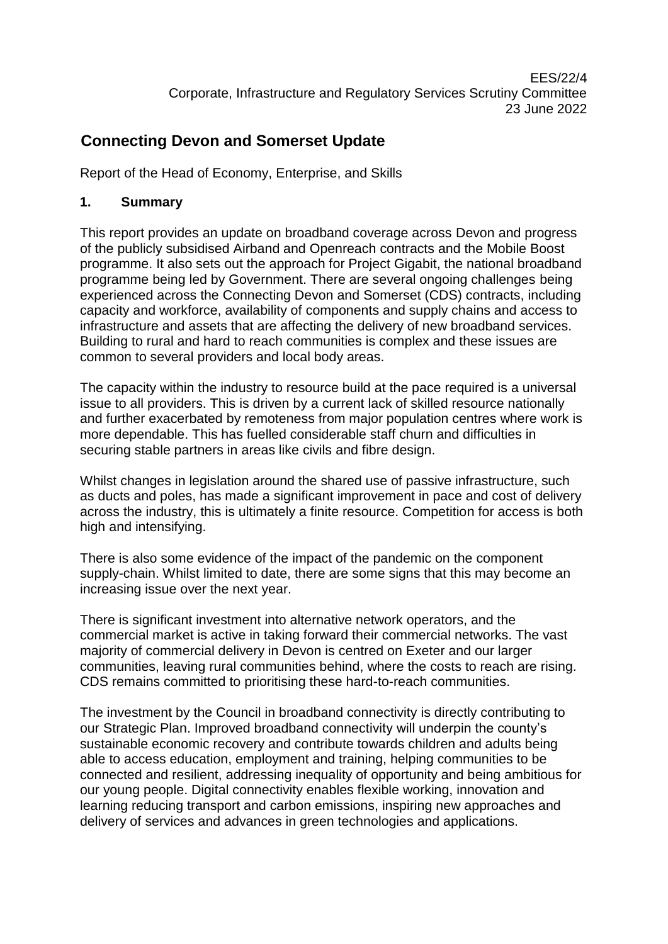# **Connecting Devon and Somerset Update**

Report of the Head of Economy, Enterprise, and Skills

## **1. Summary**

This report provides an update on broadband coverage across Devon and progress of the publicly subsidised Airband and Openreach contracts and the Mobile Boost programme. It also sets out the approach for Project Gigabit, the national broadband programme being led by Government. There are several ongoing challenges being experienced across the Connecting Devon and Somerset (CDS) contracts, including capacity and workforce, availability of components and supply chains and access to infrastructure and assets that are affecting the delivery of new broadband services. Building to rural and hard to reach communities is complex and these issues are common to several providers and local body areas.

The capacity within the industry to resource build at the pace required is a universal issue to all providers. This is driven by a current lack of skilled resource nationally and further exacerbated by remoteness from major population centres where work is more dependable. This has fuelled considerable staff churn and difficulties in securing stable partners in areas like civils and fibre design.

Whilst changes in legislation around the shared use of passive infrastructure, such as ducts and poles, has made a significant improvement in pace and cost of delivery across the industry, this is ultimately a finite resource. Competition for access is both high and intensifying.

There is also some evidence of the impact of the pandemic on the component supply-chain. Whilst limited to date, there are some signs that this may become an increasing issue over the next year.

There is significant investment into alternative network operators, and the commercial market is active in taking forward their commercial networks. The vast majority of commercial delivery in Devon is centred on Exeter and our larger communities, leaving rural communities behind, where the costs to reach are rising. CDS remains committed to prioritising these hard-to-reach communities.

The investment by the Council in broadband connectivity is directly contributing to our Strategic Plan. Improved broadband connectivity will underpin the county's sustainable economic recovery and contribute towards children and adults being able to access education, employment and training, helping communities to be connected and resilient, addressing inequality of opportunity and being ambitious for our young people. Digital connectivity enables flexible working, innovation and learning reducing transport and carbon emissions, inspiring new approaches and delivery of services and advances in green technologies and applications.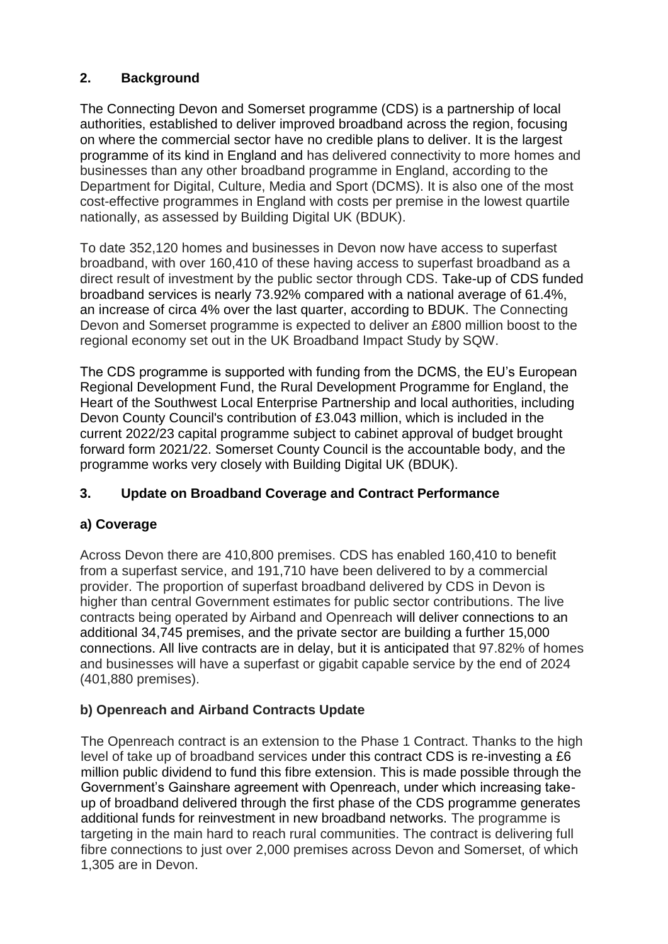# **2. Background**

The Connecting Devon and Somerset programme (CDS) is a partnership of local authorities, established to deliver improved broadband across the region, focusing on where the commercial sector have no credible plans to deliver. It is the largest programme of its kind in England and has delivered connectivity to more homes and businesses than any other broadband programme in England, according to the Department for Digital, Culture, Media and Sport (DCMS). It is also one of the most cost-effective programmes in England with costs per premise in the lowest quartile nationally, as assessed by Building Digital UK (BDUK).

To date 352,120 homes and businesses in Devon now have access to superfast broadband, with over 160,410 of these having access to superfast broadband as a direct result of investment by the public sector through CDS. Take-up of CDS funded broadband services is nearly 73.92% compared with a national average of 61.4%, an increase of circa 4% over the last quarter, according to BDUK. The Connecting Devon and Somerset programme is expected to deliver an £800 million boost to the regional economy set out in the UK Broadband Impact Study by SQW.

The CDS programme is supported with funding from the DCMS, the EU's European Regional Development Fund, the Rural Development Programme for England, the Heart of the Southwest Local Enterprise Partnership and local authorities, including Devon County Council's contribution of £3.043 million, which is included in the current 2022/23 capital programme subject to cabinet approval of budget brought forward form 2021/22. Somerset County Council is the accountable body, and the programme works very closely with Building Digital UK (BDUK).

### **3. Update on Broadband Coverage and Contract Performance**

### **a) Coverage**

Across Devon there are 410,800 premises. CDS has enabled 160,410 to benefit from a superfast service, and 191,710 have been delivered to by a commercial provider. The proportion of superfast broadband delivered by CDS in Devon is higher than central Government estimates for public sector contributions. The live contracts being operated by Airband and Openreach will deliver connections to an additional 34,745 premises, and the private sector are building a further 15,000 connections. All live contracts are in delay, but it is anticipated that 97.82% of homes and businesses will have a superfast or gigabit capable service by the end of 2024 (401,880 premises).

### **b) Openreach and Airband Contracts Update**

The Openreach contract is an extension to the Phase 1 Contract. Thanks to the high level of take up of broadband services under this contract CDS is re-investing a £6 million public dividend to fund this fibre extension. This is made possible through the Government's Gainshare agreement with Openreach, under which increasing takeup of broadband delivered through the first phase of the CDS programme generates additional funds for reinvestment in new broadband networks. The programme is targeting in the main hard to reach rural communities. The contract is delivering full fibre connections to just over 2,000 premises across Devon and Somerset, of which 1,305 are in Devon.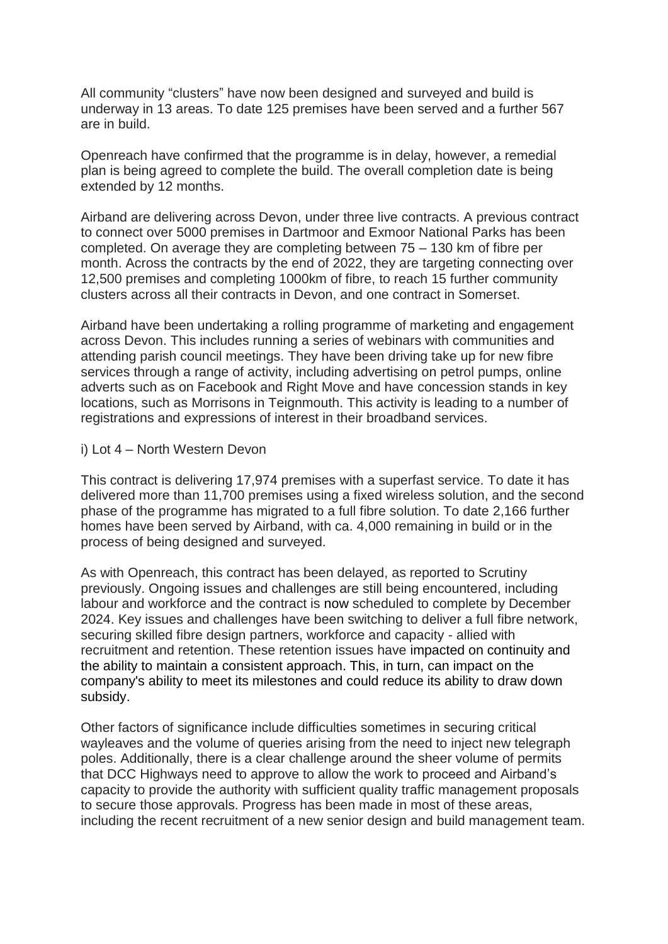All community "clusters" have now been designed and surveyed and build is underway in 13 areas. To date 125 premises have been served and a further 567 are in build.

Openreach have confirmed that the programme is in delay, however, a remedial plan is being agreed to complete the build. The overall completion date is being extended by 12 months.

Airband are delivering across Devon, under three live contracts. A previous contract to connect over 5000 premises in Dartmoor and Exmoor National Parks has been completed. On average they are completing between 75 – 130 km of fibre per month. Across the contracts by the end of 2022, they are targeting connecting over 12,500 premises and completing 1000km of fibre, to reach 15 further community clusters across all their contracts in Devon, and one contract in Somerset.

Airband have been undertaking a rolling programme of marketing and engagement across Devon. This includes running a series of webinars with communities and attending parish council meetings. They have been driving take up for new fibre services through a range of activity, including advertising on petrol pumps, online adverts such as on Facebook and Right Move and have concession stands in key locations, such as Morrisons in Teignmouth. This activity is leading to a number of registrations and expressions of interest in their broadband services.

#### i) Lot 4 – North Western Devon

This contract is delivering 17,974 premises with a superfast service. To date it has delivered more than 11,700 premises using a fixed wireless solution, and the second phase of the programme has migrated to a full fibre solution. To date 2,166 further homes have been served by Airband, with ca. 4,000 remaining in build or in the process of being designed and surveyed.

As with Openreach, this contract has been delayed, as reported to Scrutiny previously. Ongoing issues and challenges are still being encountered, including labour and workforce and the contract is now scheduled to complete by December 2024. Key issues and challenges have been switching to deliver a full fibre network, securing skilled fibre design partners, workforce and capacity - allied with recruitment and retention. These retention issues have impacted on continuity and the ability to maintain a consistent approach. This, in turn, can impact on the company's ability to meet its milestones and could reduce its ability to draw down subsidy.

Other factors of significance include difficulties sometimes in securing critical wayleaves and the volume of queries arising from the need to inject new telegraph poles. Additionally, there is a clear challenge around the sheer volume of permits that DCC Highways need to approve to allow the work to proceed and Airband's capacity to provide the authority with sufficient quality traffic management proposals to secure those approvals. Progress has been made in most of these areas, including the recent recruitment of a new senior design and build management team.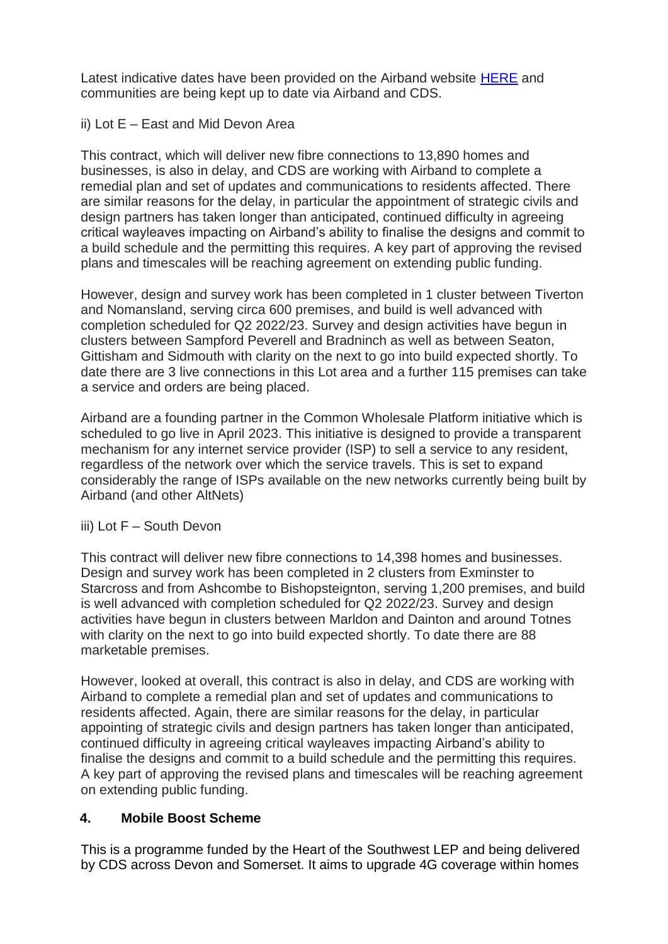Latest indicative dates have been provided on the Airband website [HERE](https://wholesale.airband.co.uk/cds) and communities are being kept up to date via Airband and CDS.

#### ii) Lot E – East and Mid Devon Area

This contract, which will deliver new fibre connections to 13,890 homes and businesses, is also in delay, and CDS are working with Airband to complete a remedial plan and set of updates and communications to residents affected. There are similar reasons for the delay, in particular the appointment of strategic civils and design partners has taken longer than anticipated, continued difficulty in agreeing critical wayleaves impacting on Airband's ability to finalise the designs and commit to a build schedule and the permitting this requires. A key part of approving the revised plans and timescales will be reaching agreement on extending public funding.

However, design and survey work has been completed in 1 cluster between Tiverton and Nomansland, serving circa 600 premises, and build is well advanced with completion scheduled for Q2 2022/23. Survey and design activities have begun in clusters between Sampford Peverell and Bradninch as well as between Seaton, Gittisham and Sidmouth with clarity on the next to go into build expected shortly. To date there are 3 live connections in this Lot area and a further 115 premises can take a service and orders are being placed.

Airband are a founding partner in the Common Wholesale Platform initiative which is scheduled to go live in April 2023. This initiative is designed to provide a transparent mechanism for any internet service provider (ISP) to sell a service to any resident, regardless of the network over which the service travels. This is set to expand considerably the range of ISPs available on the new networks currently being built by Airband (and other AltNets)

#### iii) Lot F – South Devon

This contract will deliver new fibre connections to 14,398 homes and businesses. Design and survey work has been completed in 2 clusters from Exminster to Starcross and from Ashcombe to Bishopsteignton, serving 1,200 premises, and build is well advanced with completion scheduled for Q2 2022/23. Survey and design activities have begun in clusters between Marldon and Dainton and around Totnes with clarity on the next to go into build expected shortly. To date there are 88 marketable premises.

However, looked at overall, this contract is also in delay, and CDS are working with Airband to complete a remedial plan and set of updates and communications to residents affected. Again, there are similar reasons for the delay, in particular appointing of strategic civils and design partners has taken longer than anticipated, continued difficulty in agreeing critical wayleaves impacting Airband's ability to finalise the designs and commit to a build schedule and the permitting this requires. A key part of approving the revised plans and timescales will be reaching agreement on extending public funding.

### **4. Mobile Boost Scheme**

This is a programme funded by the Heart of the Southwest LEP and being delivered by CDS across Devon and Somerset. It aims to upgrade 4G coverage within homes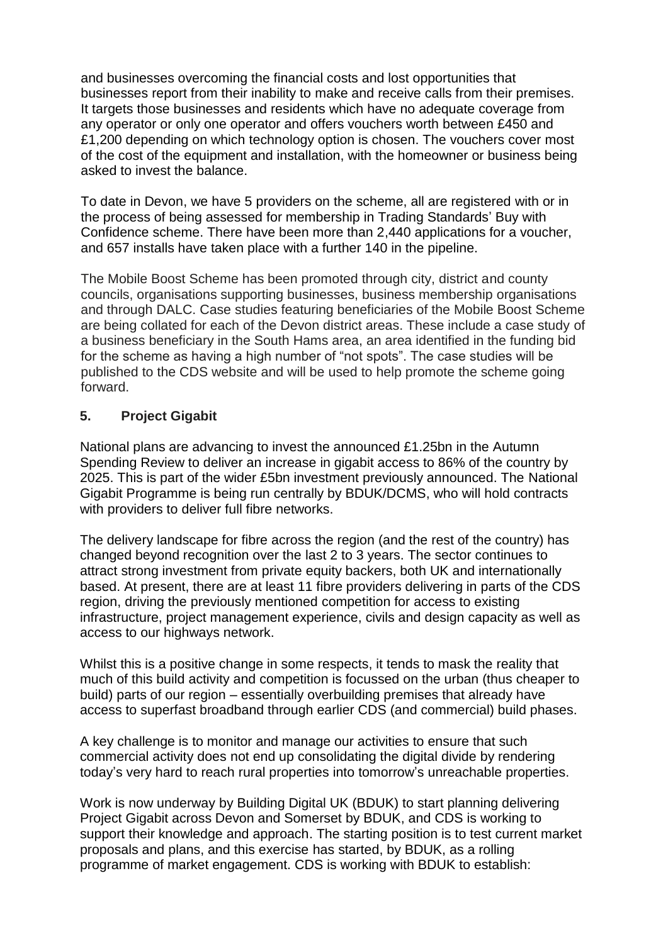and businesses overcoming the financial costs and lost opportunities that businesses report from their inability to make and receive calls from their premises. It targets those businesses and residents which have no adequate coverage from any operator or only one operator and offers vouchers worth between £450 and £1,200 depending on which technology option is chosen. The vouchers cover most of the cost of the equipment and installation, with the homeowner or business being asked to invest the balance.

To date in Devon, we have 5 providers on the scheme, all are registered with or in the process of being assessed for membership in Trading Standards' Buy with Confidence scheme. There have been more than 2,440 applications for a voucher, and 657 installs have taken place with a further 140 in the pipeline.

The Mobile Boost Scheme has been promoted through city, district and county councils, organisations supporting businesses, business membership organisations and through DALC. Case studies featuring beneficiaries of the Mobile Boost Scheme are being collated for each of the Devon district areas. These include a case study of a business beneficiary in the South Hams area, an area identified in the funding bid for the scheme as having a high number of "not spots". The case studies will be published to the CDS website and will be used to help promote the scheme going forward.

### **5. Project Gigabit**

National plans are advancing to invest the announced £1.25bn in the Autumn Spending Review to deliver an increase in gigabit access to 86% of the country by 2025. This is part of the wider £5bn investment previously announced. The National Gigabit Programme is being run centrally by BDUK/DCMS, who will hold contracts with providers to deliver full fibre networks.

The delivery landscape for fibre across the region (and the rest of the country) has changed beyond recognition over the last 2 to 3 years. The sector continues to attract strong investment from private equity backers, both UK and internationally based. At present, there are at least 11 fibre providers delivering in parts of the CDS region, driving the previously mentioned competition for access to existing infrastructure, project management experience, civils and design capacity as well as access to our highways network.

Whilst this is a positive change in some respects, it tends to mask the reality that much of this build activity and competition is focussed on the urban (thus cheaper to build) parts of our region – essentially overbuilding premises that already have access to superfast broadband through earlier CDS (and commercial) build phases.

A key challenge is to monitor and manage our activities to ensure that such commercial activity does not end up consolidating the digital divide by rendering today's very hard to reach rural properties into tomorrow's unreachable properties.

Work is now underway by Building Digital UK (BDUK) to start planning delivering Project Gigabit across Devon and Somerset by BDUK, and CDS is working to support their knowledge and approach. The starting position is to test current market proposals and plans, and this exercise has started, by BDUK, as a rolling programme of market engagement. CDS is working with BDUK to establish: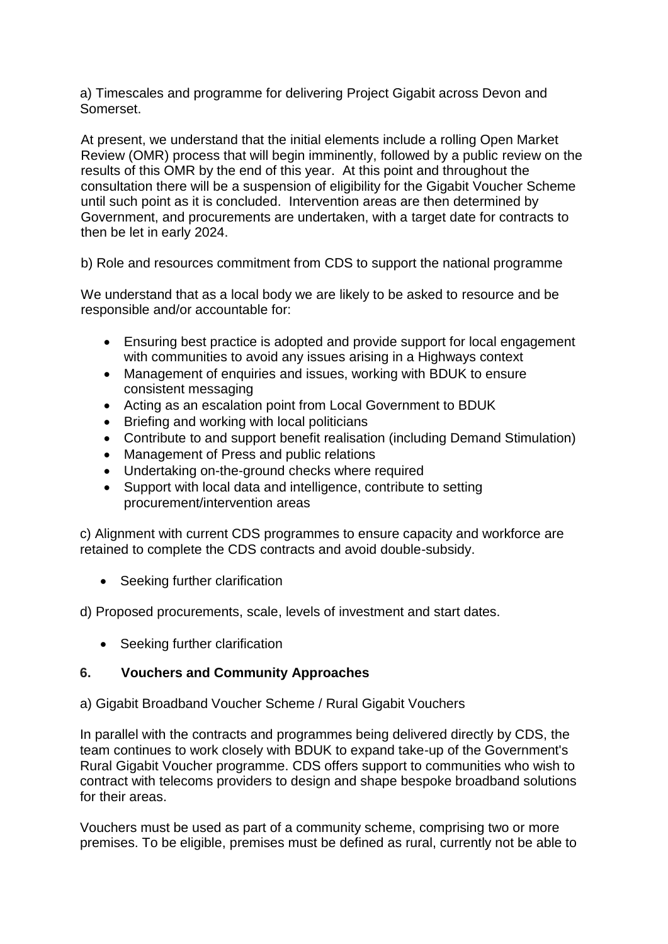a) Timescales and programme for delivering Project Gigabit across Devon and Somerset.

At present, we understand that the initial elements include a rolling Open Market Review (OMR) process that will begin imminently, followed by a public review on the results of this OMR by the end of this year. At this point and throughout the consultation there will be a suspension of eligibility for the Gigabit Voucher Scheme until such point as it is concluded. Intervention areas are then determined by Government, and procurements are undertaken, with a target date for contracts to then be let in early 2024.

b) Role and resources commitment from CDS to support the national programme

We understand that as a local body we are likely to be asked to resource and be responsible and/or accountable for:

- Ensuring best practice is adopted and provide support for local engagement with communities to avoid any issues arising in a Highways context
- Management of enquiries and issues, working with BDUK to ensure consistent messaging
- Acting as an escalation point from Local Government to BDUK
- Briefing and working with local politicians
- Contribute to and support benefit realisation (including Demand Stimulation)
- Management of Press and public relations
- Undertaking on-the-ground checks where required
- Support with local data and intelligence, contribute to setting procurement/intervention areas

c) Alignment with current CDS programmes to ensure capacity and workforce are retained to complete the CDS contracts and avoid double-subsidy.

• Seeking further clarification

d) Proposed procurements, scale, levels of investment and start dates.

• Seeking further clarification

### **6. Vouchers and Community Approaches**

a) Gigabit Broadband Voucher Scheme / Rural Gigabit Vouchers

In parallel with the contracts and programmes being delivered directly by CDS, the team continues to work closely with BDUK to expand take-up of the Government's Rural Gigabit Voucher programme. CDS offers support to communities who wish to contract with telecoms providers to design and shape bespoke broadband solutions for their areas.

Vouchers must be used as part of a community scheme, comprising two or more premises. To be eligible, premises must be defined as rural, currently not be able to